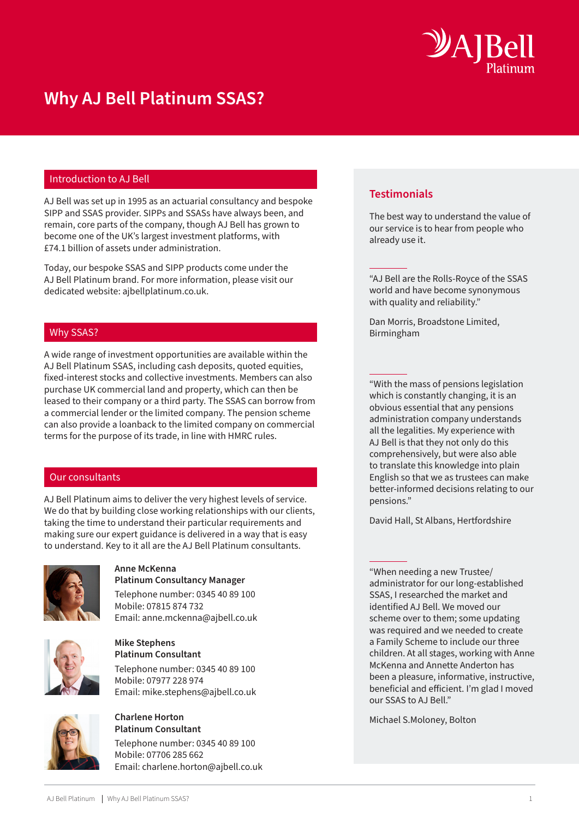

# **Why AJ Bell Platinum SSAS?**

# Introduction to AJ Bell

AJ Bell was set up in 1995 as an actuarial consultancy and bespoke SIPP and SSAS provider. SIPPs and SSASs have always been, and remain, core parts of the company, though AJ Bell has grown to become one of the UK's largest investment platforms, with £74.1 billion of assets under administration.

Today, our bespoke SSAS and SIPP products come under the AJ Bell Platinum brand. For more information, please visit our dedicated website: ajbellplatinum.co.uk.

# Why SSAS?

A wide range of investment opportunities are available within the AJ Bell Platinum SSAS, including cash deposits, quoted equities, fixed-interest stocks and collective investments. Members can also purchase UK commercial land and property, which can then be leased to their company or a third party. The SSAS can borrow from a commercial lender or the limited company. The pension scheme can also provide a loanback to the limited company on commercial terms for the purpose of its trade, in line with HMRC rules.

# Our consultants

AJ Bell Platinum aims to deliver the very highest levels of service. We do that by building close working relationships with our clients, taking the time to understand their particular requirements and making sure our expert guidance is delivered in a way that is easy to understand. Key to it all are the AJ Bell Platinum consultants.



### **Anne McKenna Platinum Consultancy Manager**

Telephone number: 0345 40 89 100 Mobile: 07815 874 732 Email: anne.mckenna@ajbell.co.uk



## **Mike Stephens Platinum Consultant**

Telephone number: 0345 40 89 100 Mobile: 07977 228 974 Email: mike.stephens@ajbell.co.uk



#### **Charlene Horton Platinum Consultant**

Telephone number: 0345 40 89 100 Mobile: 07706 285 662 Email: charlene.horton@ajbell.co.uk

# **Testimonials**

The best way to understand the value of our service is to hear from people who already use it.

"AJ Bell are the Rolls-Royce of the SSAS world and have become synonymous with quality and reliability."

Dan Morris, Broadstone Limited, Birmingham

"With the mass of pensions legislation which is constantly changing, it is an obvious essential that any pensions administration company understands all the legalities. My experience with AJ Bell is that they not only do this comprehensively, but were also able to translate this knowledge into plain English so that we as trustees can make better-informed decisions relating to our pensions."

David Hall, St Albans, Hertfordshire

"When needing a new Trustee/ administrator for our long-established SSAS, I researched the market and identified AJ Bell. We moved our scheme over to them; some updating was required and we needed to create a Family Scheme to include our three children. At all stages, working with Anne McKenna and Annette Anderton has been a pleasure, informative, instructive, beneficial and efficient. I'm glad I moved our SSAS to AJ Bell."

Michael S.Moloney, Bolton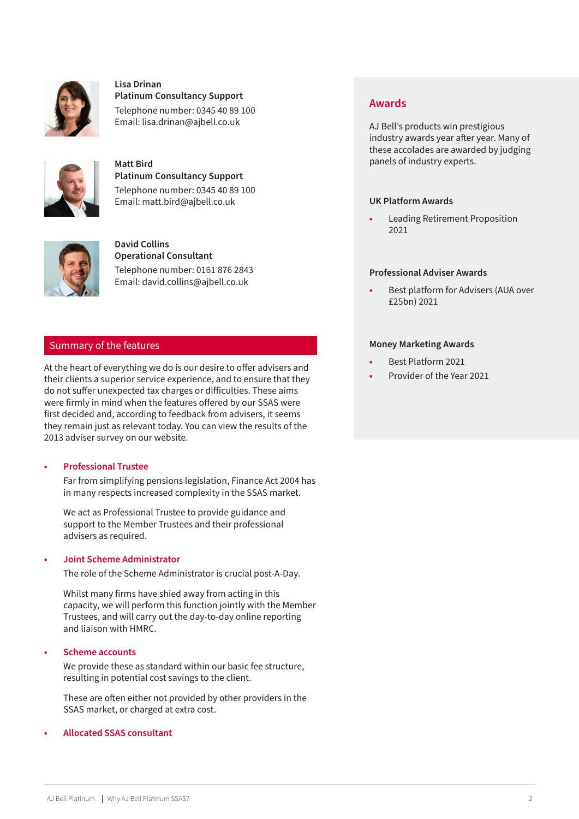

### **Lisa Drinan Platinum Consultancy Support**

Telephone number: 0345 40 89 100

Email: lisa.drinan@ajbell.co.uk



**Matt Bird Platinum Consultancy Support** Telephone number: 0345 40 89 100 Email: matt.bird@ajbell.co.uk



**David Collins Operational Consultant** Telephone number: 0161 876 2843 Email: david.collins@ajbell.co.uk

# Summary of the features

At the heart of everything we do is our desire to offer advisers and their clients a superior service experience, and to ensure that they do not suffer unexpected tax charges or difficulties. These aims were firmly in mind when the features offered by our SSAS were first decided and, according to feedback from advisers, it seems they remain just as relevant today. You can view the results of the 2013 adviser survey on our website.

# **• Professional Trustee**

Far from simplifying pensions legislation, Finance Act 2004 has in many respects increased complexity in the SSAS market.

We act as Professional Trustee to provide guidance and support to the Member Trustees and their professional advisers as required.

# **• Joint Scheme Administrator**

The role of the Scheme Administrator is crucial post-A-Day.

Whilst many firms have shied away from acting in this capacity, we will perform this function jointly with the Member Trustees, and will carry out the day-to-day online reporting and liaison with HMRC.

# **• Scheme accounts**

We provide these as standard within our basic fee structure, resulting in potential cost savings to the client.

These are often either not provided by other providers in the SSAS market, or charged at extra cost.

# **• Allocated SSAS consultant**

# **Awards**

AJ Bell's products win prestigious industry awards year after year. Many of these accolades are awarded by judging panels of industry experts.

# **UK Platform Awards**

**•** Leading Retirement Proposition 2021

# **Professional Adviser Awards**

**•** Best platform for Advisers (AUA over £25bn) 2021

# **Money Marketing Awards**

- **•** Best Platform 2021
- **•** Provider of the Year 2021